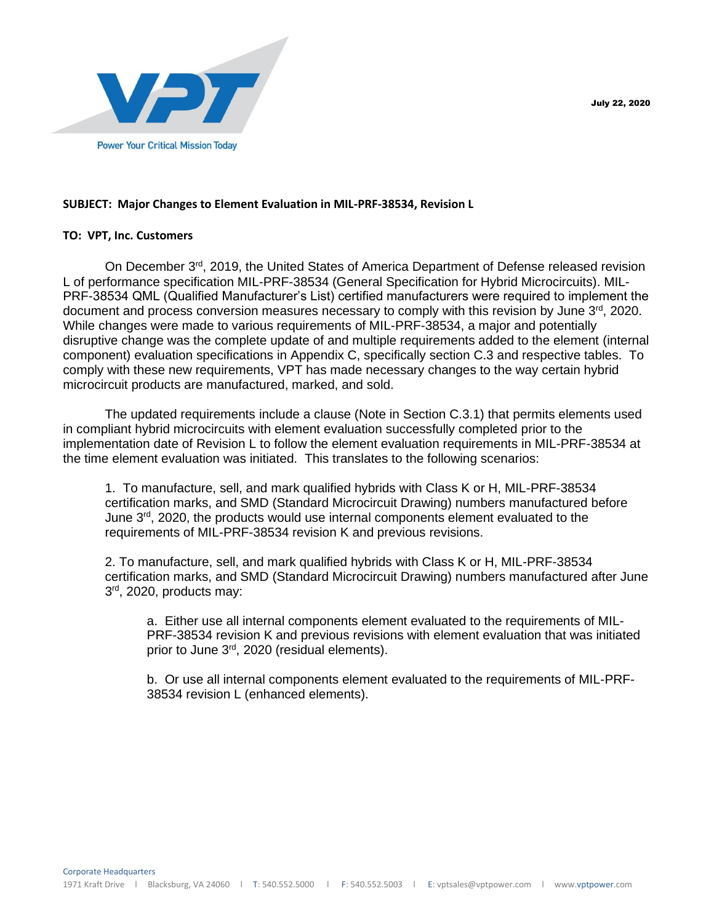

## **SUBJECT: Major Changes to Element Evaluation in MIL-PRF-38534, Revision L**

## **TO: VPT, Inc. Customers**

On December  $3<sup>rd</sup>$ , 2019, the United States of America Department of Defense released revision L of performance specification MIL-PRF-38534 (General Specification for Hybrid Microcircuits). MIL-PRF-38534 QML (Qualified Manufacturer's List) certified manufacturers were required to implement the document and process conversion measures necessary to comply with this revision by June  $3<sup>rd</sup>$ , 2020. While changes were made to various requirements of MIL-PRF-38534, a major and potentially disruptive change was the complete update of and multiple requirements added to the element (internal component) evaluation specifications in Appendix C, specifically section C.3 and respective tables. To comply with these new requirements, VPT has made necessary changes to the way certain hybrid microcircuit products are manufactured, marked, and sold.

The updated requirements include a clause (Note in Section C.3.1) that permits elements used in compliant hybrid microcircuits with element evaluation successfully completed prior to the implementation date of Revision L to follow the element evaluation requirements in MIL-PRF-38534 at the time element evaluation was initiated. This translates to the following scenarios:

1. To manufacture, sell, and mark qualified hybrids with Class K or H, MIL-PRF-38534 certification marks, and SMD (Standard Microcircuit Drawing) numbers manufactured before June  $3<sup>rd</sup>$ , 2020, the products would use internal components element evaluated to the requirements of MIL-PRF-38534 revision K and previous revisions.

2. To manufacture, sell, and mark qualified hybrids with Class K or H, MIL-PRF-38534 certification marks, and SMD (Standard Microcircuit Drawing) numbers manufactured after June 3<sup>rd</sup>, 2020, products may:

a. Either use all internal components element evaluated to the requirements of MIL-PRF-38534 revision K and previous revisions with element evaluation that was initiated prior to June 3rd, 2020 (residual elements).

b. Or use all internal components element evaluated to the requirements of MIL-PRF-38534 revision L (enhanced elements).